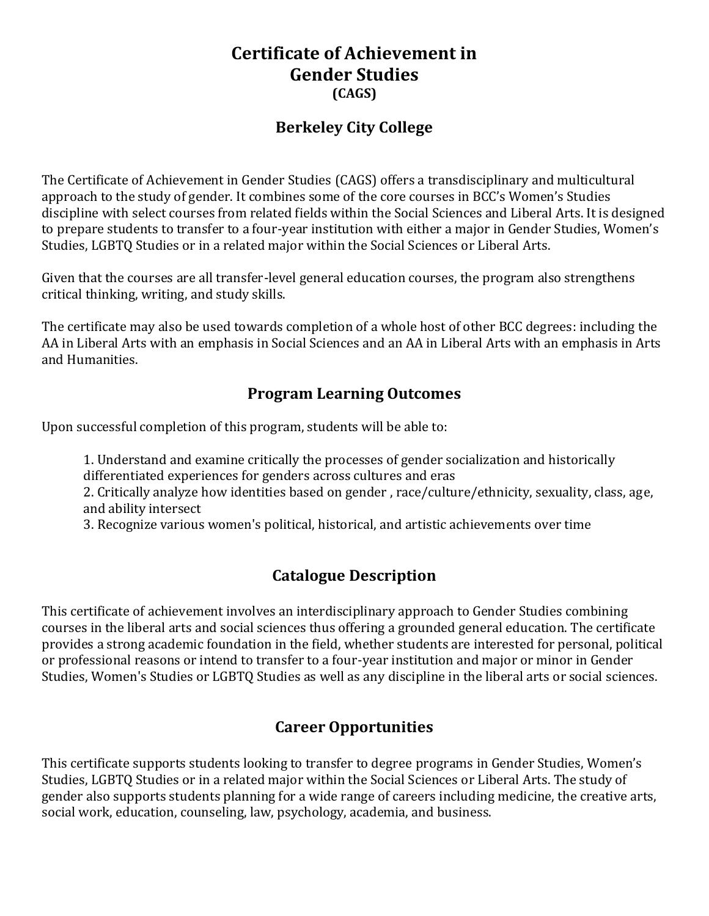## **Certificate of Achievement in Gender Studies (CAGS)**

### **Berkeley City College**

The Certificate of Achievement in Gender Studies (CAGS) offers a transdisciplinary and multicultural approach to the study of gender. It combines some of the core courses in BCC's Women's Studies discipline with select courses from related fields within the Social Sciences and Liberal Arts. It is designed to prepare students to transfer to a four-year institution with either a major in Gender Studies, Women's Studies, LGBTQ Studies or in a related major within the Social Sciences or Liberal Arts.

Given that the courses are all transfer-level general education courses, the program also strengthens critical thinking, writing, and study skills.

The certificate may also be used towards completion of a whole host of other BCC degrees: including the AA in Liberal Arts with an emphasis in Social Sciences and an AA in Liberal Arts with an emphasis in Arts and Humanities.

### **Program Learning Outcomes**

Upon successful completion of this program, students will be able to:

1. Understand and examine critically the processes of gender socialization and historically differentiated experiences for genders across cultures and eras 2. Critically analyze how identities based on gender , race/culture/ethnicity, sexuality, class, age, and ability intersect

3. Recognize various women's political, historical, and artistic achievements over time

## **Catalogue Description**

This certificate of achievement involves an interdisciplinary approach to Gender Studies combining courses in the liberal arts and social sciences thus offering a grounded general education. The certificate provides a strong academic foundation in the field, whether students are interested for personal, political or professional reasons or intend to transfer to a four-year institution and major or minor in Gender Studies, Women's Studies or LGBTQ Studies as well as any discipline in the liberal arts or social sciences.

## **Career Opportunities**

This certificate supports students looking to transfer to degree programs in Gender Studies, Women's Studies, LGBTQ Studies or in a related major within the Social Sciences or Liberal Arts. The study of gender also supports students planning for a wide range of careers including medicine, the creative arts, social work, education, counseling, law, psychology, academia, and business.